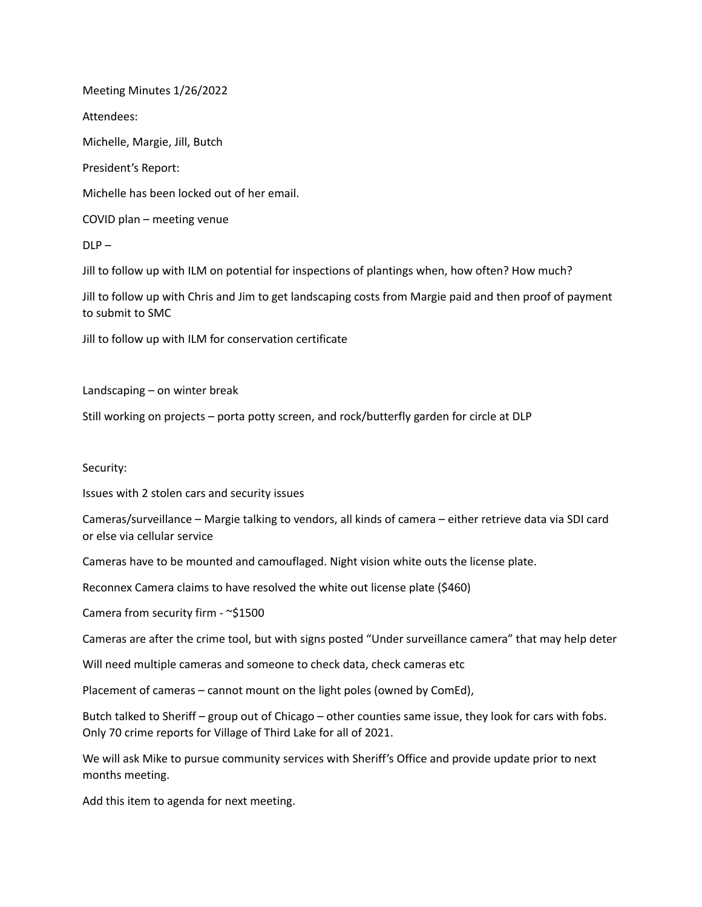Meeting Minutes 1/26/2022

Attendees:

Michelle, Margie, Jill, Butch

President's Report:

Michelle has been locked out of her email.

COVID plan – meeting venue

 $DLP -$ 

Jill to follow up with ILM on potential for inspections of plantings when, how often? How much?

Jill to follow up with Chris and Jim to get landscaping costs from Margie paid and then proof of payment to submit to SMC

Jill to follow up with ILM for conservation certificate

Landscaping – on winter break

Still working on projects – porta potty screen, and rock/butterfly garden for circle at DLP

Security:

Issues with 2 stolen cars and security issues

Cameras/surveillance – Margie talking to vendors, all kinds of camera – either retrieve data via SDI card or else via cellular service

Cameras have to be mounted and camouflaged. Night vision white outs the license plate.

Reconnex Camera claims to have resolved the white out license plate (\$460)

Camera from security firm - ~\$1500

Cameras are after the crime tool, but with signs posted "Under surveillance camera" that may help deter

Will need multiple cameras and someone to check data, check cameras etc

Placement of cameras – cannot mount on the light poles (owned by ComEd),

Butch talked to Sheriff – group out of Chicago – other counties same issue, they look for cars with fobs. Only 70 crime reports for Village of Third Lake for all of 2021.

We will ask Mike to pursue community services with Sheriff's Office and provide update prior to next months meeting.

Add this item to agenda for next meeting.